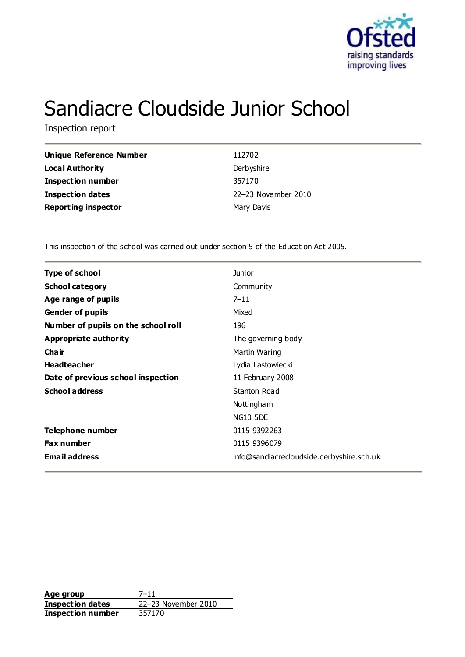

# Sandiacre Cloudside Junior School

Inspection report

| <b>Unique Reference Number</b> | 112702              |
|--------------------------------|---------------------|
| Local Authority                | Derbyshire          |
| <b>Inspection number</b>       | 357170              |
| Inspection dates               | 22-23 November 2010 |
| <b>Reporting inspector</b>     | Mary Davis          |

This inspection of the school was carried out under section 5 of the Education Act 2005.

| <b>Type of school</b>               | <b>Junior</b>                             |
|-------------------------------------|-------------------------------------------|
| <b>School category</b>              | Community                                 |
| Age range of pupils                 | $7 - 11$                                  |
| <b>Gender of pupils</b>             | Mixed                                     |
| Number of pupils on the school roll | 196                                       |
| Appropriate authority               | The governing body                        |
| Cha ir                              | Martin Waring                             |
| <b>Headteacher</b>                  | Lydia Lastowiecki                         |
| Date of previous school inspection  | 11 February 2008                          |
| <b>School address</b>               | Stanton Road                              |
|                                     | Nottingham                                |
|                                     | <b>NG10 5DE</b>                           |
| Telephone number                    | 0115 9392 263                             |
| <b>Fax number</b>                   | 0115 9396079                              |
| <b>Email address</b>                | info@sandiacrecloudside.derbyshire.sch.uk |

**Age group** 7–11 **Inspection dates** 22–23 November 2010<br>**Inspection number** 357170 **Inspection number**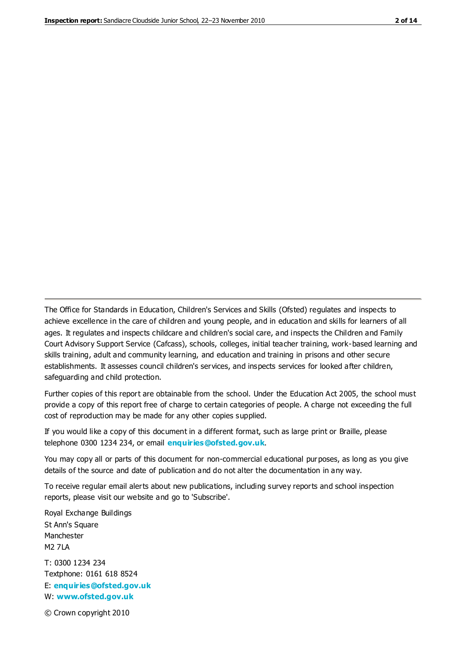The Office for Standards in Education, Children's Services and Skills (Ofsted) regulates and inspects to achieve excellence in the care of children and young people, and in education and skills for learners of all ages. It regulates and inspects childcare and children's social care, and inspects the Children and Family Court Advisory Support Service (Cafcass), schools, colleges, initial teacher training, work-based learning and skills training, adult and community learning, and education and training in prisons and other secure establishments. It assesses council children's services, and inspects services for looked after children, safeguarding and child protection.

Further copies of this report are obtainable from the school. Under the Education Act 2005, the school must provide a copy of this report free of charge to certain categories of people. A charge not exceeding the full cost of reproduction may be made for any other copies supplied.

If you would like a copy of this document in a different format, such as large print or Braille, please telephone 0300 1234 234, or email **[enquiries@ofsted.gov.uk](mailto:enquiries@ofsted.gov.uk)**.

You may copy all or parts of this document for non-commercial educational purposes, as long as you give details of the source and date of publication and do not alter the documentation in any way.

To receive regular email alerts about new publications, including survey reports and school inspection reports, please visit our website and go to 'Subscribe'.

Royal Exchange Buildings St Ann's Square Manchester M2 7LA T: 0300 1234 234 Textphone: 0161 618 8524 E: **[enquiries@ofsted.gov.uk](mailto:enquiries@ofsted.gov.uk)** W: **[www.ofsted.gov.uk](http://www.ofsted.gov.uk/)**

© Crown copyright 2010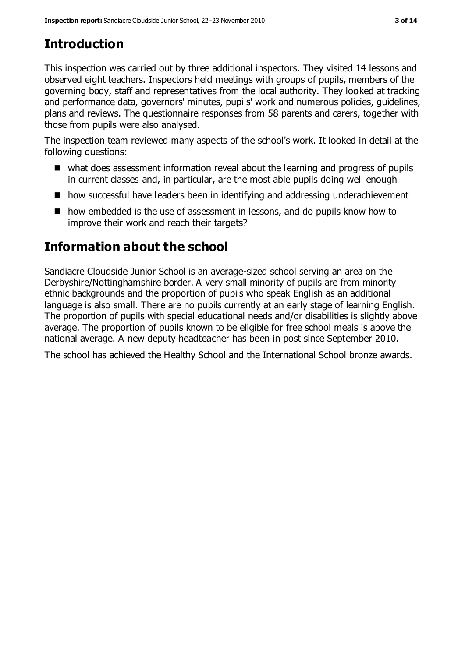# **Introduction**

This inspection was carried out by three additional inspectors. They visited 14 lessons and observed eight teachers. Inspectors held meetings with groups of pupils, members of the governing body, staff and representatives from the local authority. They looked at tracking and performance data, governors' minutes, pupils' work and numerous policies, guidelines, plans and reviews. The questionnaire responses from 58 parents and carers, together with those from pupils were also analysed.

The inspection team reviewed many aspects of the school's work. It looked in detail at the following questions:

- what does assessment information reveal about the learning and progress of pupils in current classes and, in particular, are the most able pupils doing well enough
- how successful have leaders been in identifying and addressing underachievement
- how embedded is the use of assessment in lessons, and do pupils know how to improve their work and reach their targets?

## **Information about the school**

Sandiacre Cloudside Junior School is an average-sized school serving an area on the Derbyshire/Nottinghamshire border. A very small minority of pupils are from minority ethnic backgrounds and the proportion of pupils who speak English as an additional language is also small. There are no pupils currently at an early stage of learning English. The proportion of pupils with special educational needs and/or disabilities is slightly above average. The proportion of pupils known to be eligible for free school meals is above the national average. A new deputy headteacher has been in post since September 2010.

The school has achieved the Healthy School and the International School bronze awards.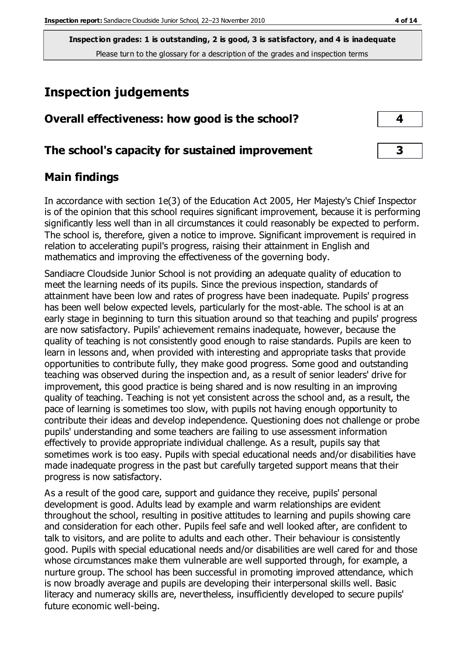# **Inspection judgements**

| Overall effectiveness: how good is the school?  |  |
|-------------------------------------------------|--|
| The school's capacity for sustained improvement |  |

## **Main findings**

In accordance with section 1e(3) of the Education Act 2005, Her Majesty's Chief Inspector is of the opinion that this school requires significant improvement, because it is performing significantly less well than in all circumstances it could reasonably be expected to perform. The school is, therefore, given a notice to improve. Significant improvement is required in relation to accelerating pupil's progress, raising their attainment in English and mathematics and improving the effectiveness of the governing body.

Sandiacre Cloudside Junior School is not providing an adequate quality of education to meet the learning needs of its pupils. Since the previous inspection, standards of attainment have been low and rates of progress have been inadequate. Pupils' progress has been well below expected levels, particularly for the most-able. The school is at an early stage in beginning to turn this situation around so that teaching and pupils' progress are now satisfactory. Pupils' achievement remains inadequate, however, because the quality of teaching is not consistently good enough to raise standards. Pupils are keen to learn in lessons and, when provided with interesting and appropriate tasks that provide opportunities to contribute fully, they make good progress. Some good and outstanding teaching was observed during the inspection and, as a result of senior leaders' drive for improvement, this good practice is being shared and is now resulting in an improving quality of teaching. Teaching is not yet consistent across the school and, as a result, the pace of learning is sometimes too slow, with pupils not having enough opportunity to contribute their ideas and develop independence. Questioning does not challenge or probe pupils' understanding and some teachers are failing to use assessment information effectively to provide appropriate individual challenge. As a result, pupils say that sometimes work is too easy. Pupils with special educational needs and/or disabilities have made inadequate progress in the past but carefully targeted support means that their progress is now satisfactory.

As a result of the good care, support and guidance they receive, pupils' personal development is good. Adults lead by example and warm relationships are evident throughout the school, resulting in positive attitudes to learning and pupils showing care and consideration for each other. Pupils feel safe and well looked after, are confident to talk to visitors, and are polite to adults and each other. Their behaviour is consistently good. Pupils with special educational needs and/or disabilities are well cared for and those whose circumstances make them vulnerable are well supported through, for example, a nurture group. The school has been successful in promoting improved attendance, which is now broadly average and pupils are developing their interpersonal skills well. Basic literacy and numeracy skills are, nevertheless, insufficiently developed to secure pupils' future economic well-being.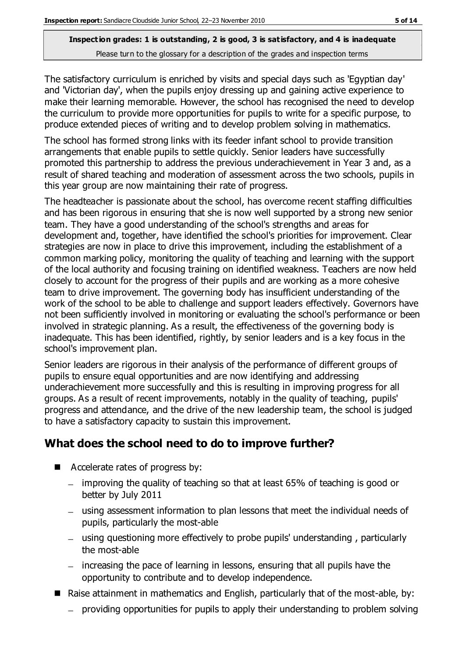The satisfactory curriculum is enriched by visits and special days such as 'Egyptian day' and 'Victorian day', when the pupils enjoy dressing up and gaining active experience to make their learning memorable. However, the school has recognised the need to develop the curriculum to provide more opportunities for pupils to write for a specific purpose, to produce extended pieces of writing and to develop problem solving in mathematics.

The school has formed strong links with its feeder infant school to provide transition arrangements that enable pupils to settle quickly. Senior leaders have successfully promoted this partnership to address the previous underachievement in Year 3 and, as a result of shared teaching and moderation of assessment across the two schools, pupils in this year group are now maintaining their rate of progress.

The headteacher is passionate about the school, has overcome recent staffing difficulties and has been rigorous in ensuring that she is now well supported by a strong new senior team. They have a good understanding of the school's strengths and areas for development and, together, have identified the school's priorities for improvement. Clear strategies are now in place to drive this improvement, including the establishment of a common marking policy, monitoring the quality of teaching and learning with the support of the local authority and focusing training on identified weakness. Teachers are now held closely to account for the progress of their pupils and are working as a more cohesive team to drive improvement. The governing body has insufficient understanding of the work of the school to be able to challenge and support leaders effectively. Governors have not been sufficiently involved in monitoring or evaluating the school's performance or been involved in strategic planning. As a result, the effectiveness of the governing body is inadequate. This has been identified, rightly, by senior leaders and is a key focus in the school's improvement plan.

Senior leaders are rigorous in their analysis of the performance of different groups of pupils to ensure equal opportunities and are now identifying and addressing underachievement more successfully and this is resulting in improving progress for all groups. As a result of recent improvements, notably in the quality of teaching, pupils' progress and attendance, and the drive of the new leadership team, the school is judged to have a satisfactory capacity to sustain this improvement.

## **What does the school need to do to improve further?**

- Accelerate rates of progress by:
	- improving the quality of teaching so that at least 65% of teaching is good or better by July 2011
	- using assessment information to plan lessons that meet the individual needs of pupils, particularly the most-able
	- using questioning more effectively to probe pupils' understanding , particularly the most-able
	- increasing the pace of learning in lessons, ensuring that all pupils have the opportunity to contribute and to develop independence.
- Raise attainment in mathematics and English, particularly that of the most-able, by:
	- providing opportunities for pupils to apply their understanding to problem solving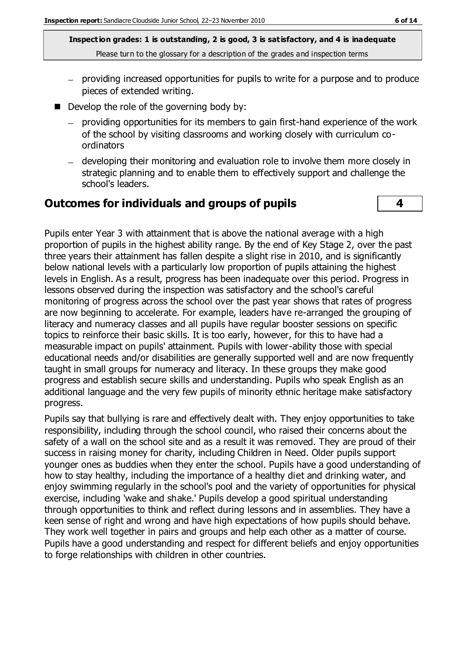- providing increased opportunities for pupils to write for a purpose and to produce pieces of extended writing.
- Develop the role of the governing body by:
	- providing opportunities for its members to gain first-hand experience of the work of the school by visiting classrooms and working closely with curriculum coordinators
	- developing their monitoring and evaluation role to involve them more closely in strategic planning and to enable them to effectively support and challenge the school's leaders.

#### **Outcomes for individuals and groups of pupils 4**

Pupils enter Year 3 with attainment that is above the national average with a high proportion of pupils in the highest ability range. By the end of Key Stage 2, over the past three years their attainment has fallen despite a slight rise in 2010, and is significantly below national levels with a particularly low proportion of pupils attaining the highest levels in English. As a result, progress has been inadequate over this period. Progress in lessons observed during the inspection was satisfactory and the school's careful monitoring of progress across the school over the past year shows that rates of progress are now beginning to accelerate. For example, leaders have re-arranged the grouping of literacy and numeracy classes and all pupils have regular booster sessions on specific topics to reinforce their basic skills. It is too early, however, for this to have had a measurable impact on pupils' attainment. Pupils with lower-ability those with special educational needs and/or disabilities are generally supported well and are now frequently taught in small groups for numeracy and literacy. In these groups they make good progress and establish secure skills and understanding. Pupils who speak English as an additional language and the very few pupils of minority ethnic heritage make satisfactory progress.

Pupils say that bullying is rare and effectively dealt with. They enjoy opportunities to take responsibility, including through the school council, who raised their concerns about the safety of a wall on the school site and as a result it was removed. They are proud of their success in raising money for charity, including Children in Need. Older pupils support younger ones as buddies when they enter the school. Pupils have a good understanding of how to stay healthy, including the importance of a healthy diet and drinking water, and enjoy swimming regularly in the school's pool and the variety of opportunities for physical exercise, including 'wake and shake.' Pupils develop a good spiritual understanding through opportunities to think and reflect during lessons and in assemblies. They have a keen sense of right and wrong and have high expectations of how pupils should behave. They work well together in pairs and groups and help each other as a matter of course. Pupils have a good understanding and respect for different beliefs and enjoy opportunities to forge relationships with children in other countries.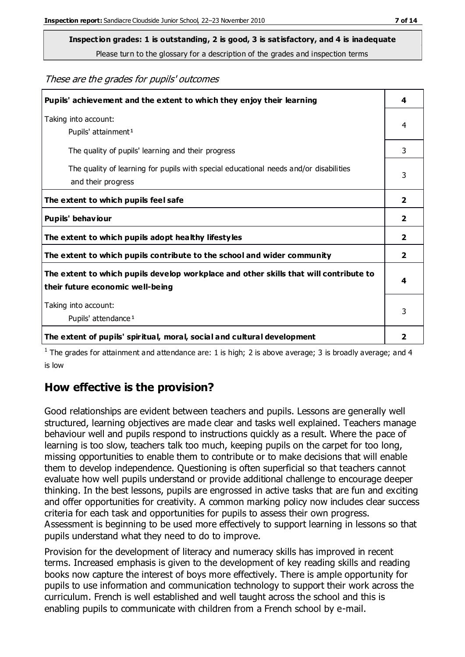**Inspection grades: 1 is outstanding, 2 is good, 3 is satisfactory, and 4 is inadequate**

Please turn to the glossary for a description of the grades and inspection terms

These are the grades for pupils' outcomes

| Pupils' achievement and the extent to which they enjoy their learning                                                     |                         |
|---------------------------------------------------------------------------------------------------------------------------|-------------------------|
| Taking into account:<br>Pupils' attainment <sup>1</sup>                                                                   | 4                       |
| The quality of pupils' learning and their progress                                                                        | 3                       |
| The quality of learning for pupils with special educational needs and/or disabilities<br>and their progress               | 3                       |
| The extent to which pupils feel safe                                                                                      | 2                       |
| Pupils' behaviour                                                                                                         | $\overline{\mathbf{2}}$ |
| The extent to which pupils adopt healthy lifestyles                                                                       | $\overline{\mathbf{2}}$ |
| The extent to which pupils contribute to the school and wider community                                                   | 2                       |
| The extent to which pupils develop workplace and other skills that will contribute to<br>their future economic well-being | 4                       |
| Taking into account:<br>Pupils' attendance <sup>1</sup>                                                                   | 3                       |
| The extent of pupils' spiritual, moral, social and cultural development                                                   | 2                       |

<sup>1</sup> The grades for attainment and attendance are: 1 is high; 2 is above average; 3 is broadly average; and 4 is low

## **How effective is the provision?**

Good relationships are evident between teachers and pupils. Lessons are generally well structured, learning objectives are made clear and tasks well explained. Teachers manage behaviour well and pupils respond to instructions quickly as a result. Where the pace of learning is too slow, teachers talk too much, keeping pupils on the carpet for too long, missing opportunities to enable them to contribute or to make decisions that will enable them to develop independence. Questioning is often superficial so that teachers cannot evaluate how well pupils understand or provide additional challenge to encourage deeper thinking. In the best lessons, pupils are engrossed in active tasks that are fun and exciting and offer opportunities for creativity. A common marking policy now includes clear success criteria for each task and opportunities for pupils to assess their own progress. Assessment is beginning to be used more effectively to support learning in lessons so that pupils understand what they need to do to improve.

Provision for the development of literacy and numeracy skills has improved in recent terms. Increased emphasis is given to the development of key reading skills and reading books now capture the interest of boys more effectively. There is ample opportunity for pupils to use information and communication technology to support their work across the curriculum. French is well established and well taught across the school and this is enabling pupils to communicate with children from a French school by e-mail.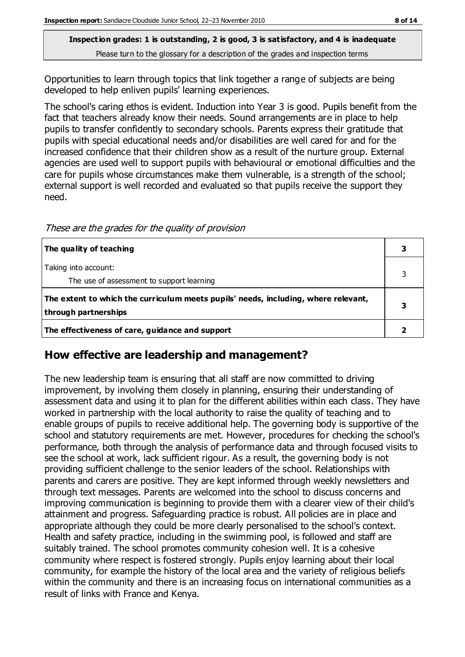Opportunities to learn through topics that link together a range of subjects are being developed to help enliven pupils' learning experiences.

The school's caring ethos is evident. Induction into Year 3 is good. Pupils benefit from the fact that teachers already know their needs. Sound arrangements are in place to help pupils to transfer confidently to secondary schools. Parents express their gratitude that pupils with special educational needs and/or disabilities are well cared for and for the increased confidence that their children show as a result of the nurture group. External agencies are used well to support pupils with behavioural or emotional difficulties and the care for pupils whose circumstances make them vulnerable, is a strength of the school; external support is well recorded and evaluated so that pupils receive the support they need.

**The quality of teaching 3** Taking into account: The use of assessment to support learning 3 **The extent to which the curriculum meets pupils' needs, including, where relevant, through partnerships 3 The effectiveness of care, guidance and support 2**

These are the grades for the quality of provision

#### **How effective are leadership and management?**

The new leadership team is ensuring that all staff are now committed to driving improvement, by involving them closely in planning, ensuring their understanding of assessment data and using it to plan for the different abilities within each class. They have worked in partnership with the local authority to raise the quality of teaching and to enable groups of pupils to receive additional help. The governing body is supportive of the school and statutory requirements are met. However, procedures for checking the school's performance, both through the analysis of performance data and through focused visits to see the school at work, lack sufficient rigour. As a result, the governing body is not providing sufficient challenge to the senior leaders of the school. Relationships with parents and carers are positive. They are kept informed through weekly newsletters and through text messages. Parents are welcomed into the school to discuss concerns and improving communication is beginning to provide them with a clearer view of their child's attainment and progress. Safeguarding practice is robust. All policies are in place and appropriate although they could be more clearly personalised to the school's context. Health and safety practice, including in the swimming pool, is followed and staff are suitably trained. The school promotes community cohesion well. It is a cohesive community where respect is fostered strongly. Pupils enjoy learning about their local community, for example the history of the local area and the variety of religious beliefs within the community and there is an increasing focus on international communities as a result of links with France and Kenya.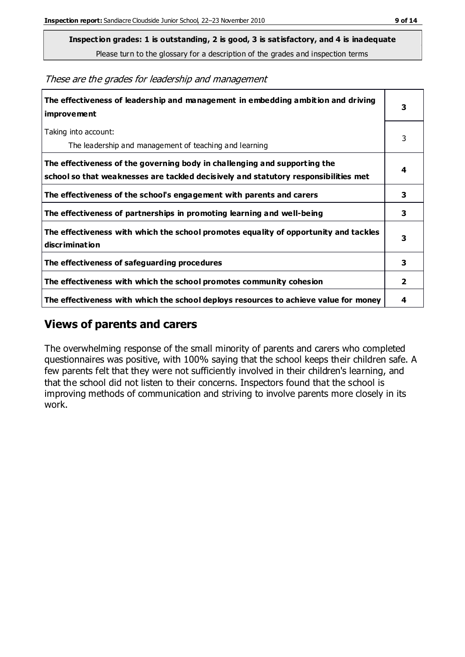**Inspection grades: 1 is outstanding, 2 is good, 3 is satisfactory, and 4 is inadequate**

Please turn to the glossary for a description of the grades and inspection terms

These are the grades for leadership and management

| The effectiveness of leadership and management in embedding ambition and driving<br><b>improvement</b>                                                           |   |
|------------------------------------------------------------------------------------------------------------------------------------------------------------------|---|
| Taking into account:<br>The leadership and management of teaching and learning                                                                                   | 3 |
| The effectiveness of the governing body in challenging and supporting the<br>school so that weaknesses are tackled decisively and statutory responsibilities met | 4 |
| The effectiveness of the school's engagement with parents and carers                                                                                             | 3 |
| The effectiveness of partnerships in promoting learning and well-being                                                                                           | 3 |
| The effectiveness with which the school promotes equality of opportunity and tackles<br>discrimination                                                           | 3 |
| The effectiveness of safeguarding procedures                                                                                                                     | 3 |
| The effectiveness with which the school promotes community cohesion                                                                                              | 2 |
| The effectiveness with which the school deploys resources to achieve value for money                                                                             | 4 |

#### **Views of parents and carers**

The overwhelming response of the small minority of parents and carers who completed questionnaires was positive, with 100% saying that the school keeps their children safe. A few parents felt that they were not sufficiently involved in their children's learning, and that the school did not listen to their concerns. Inspectors found that the school is improving methods of communication and striving to involve parents more closely in its work.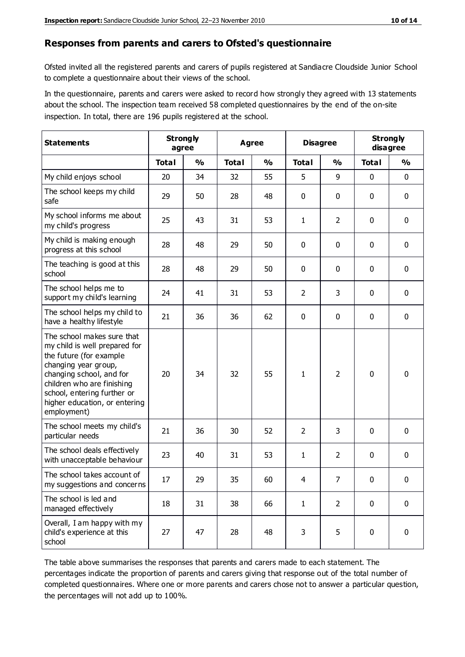#### **Responses from parents and carers to Ofsted's questionnaire**

Ofsted invited all the registered parents and carers of pupils registered at Sandiacre Cloudside Junior School to complete a questionnaire about their views of the school.

In the questionnaire, parents and carers were asked to record how strongly they agreed with 13 statements about the school. The inspection team received 58 completed questionnaires by the end of the on-site inspection. In total, there are 196 pupils registered at the school.

| <b>Statements</b>                                                                                                                                                                                                                                       | <b>Strongly</b><br>agree |               | <b>Agree</b> |               | <b>Disagree</b> |                | <b>Strongly</b><br>disagree |               |
|---------------------------------------------------------------------------------------------------------------------------------------------------------------------------------------------------------------------------------------------------------|--------------------------|---------------|--------------|---------------|-----------------|----------------|-----------------------------|---------------|
|                                                                                                                                                                                                                                                         | <b>Total</b>             | $\frac{0}{0}$ | <b>Total</b> | $\frac{0}{0}$ | <b>Total</b>    | $\frac{0}{0}$  | <b>Total</b>                | $\frac{0}{0}$ |
| My child enjoys school                                                                                                                                                                                                                                  | 20                       | 34            | 32           | 55            | 5               | 9              | $\mathbf 0$                 | $\mathbf 0$   |
| The school keeps my child<br>safe                                                                                                                                                                                                                       | 29                       | 50            | 28           | 48            | 0               | 0              | $\mathbf 0$                 | $\mathbf 0$   |
| My school informs me about<br>my child's progress                                                                                                                                                                                                       | 25                       | 43            | 31           | 53            | 1               | $\overline{2}$ | $\mathbf 0$                 | $\mathbf 0$   |
| My child is making enough<br>progress at this school                                                                                                                                                                                                    | 28                       | 48            | 29           | 50            | 0               | 0              | 0                           | $\mathbf 0$   |
| The teaching is good at this<br>school                                                                                                                                                                                                                  | 28                       | 48            | 29           | 50            | 0               | 0              | $\mathbf 0$                 | $\mathbf 0$   |
| The school helps me to<br>support my child's learning                                                                                                                                                                                                   | 24                       | 41            | 31           | 53            | $\overline{2}$  | 3              | $\mathbf 0$                 | $\mathbf 0$   |
| The school helps my child to<br>have a healthy lifestyle                                                                                                                                                                                                | 21                       | 36            | 36           | 62            | 0               | $\mathbf 0$    | $\mathbf 0$                 | $\mathbf 0$   |
| The school makes sure that<br>my child is well prepared for<br>the future (for example<br>changing year group,<br>changing school, and for<br>children who are finishing<br>school, entering further or<br>higher education, or entering<br>employment) | 20                       | 34            | 32           | 55            | 1               | $\overline{2}$ | $\mathbf 0$                 | $\mathbf 0$   |
| The school meets my child's<br>particular needs                                                                                                                                                                                                         | 21                       | 36            | 30           | 52            | $\overline{2}$  | 3              | $\mathbf 0$                 | $\mathbf 0$   |
| The school deals effectively<br>with unacceptable behaviour                                                                                                                                                                                             | 23                       | 40            | 31           | 53            | 1               | $\overline{2}$ | $\mathbf 0$                 | 0             |
| The school takes account of<br>my suggestions and concerns                                                                                                                                                                                              | 17                       | 29            | 35           | 60            | 4               | 7              | 0                           | 0             |
| The school is led and<br>managed effectively                                                                                                                                                                                                            | 18                       | 31            | 38           | 66            | $\mathbf{1}$    | $\overline{2}$ | $\mathbf 0$                 | $\mathbf 0$   |
| Overall, I am happy with my<br>child's experience at this<br>school                                                                                                                                                                                     | 27                       | 47            | 28           | 48            | 3               | 5              | $\mathbf 0$                 | $\mathbf 0$   |

The table above summarises the responses that parents and carers made to each statement. The percentages indicate the proportion of parents and carers giving that response out of the total number of completed questionnaires. Where one or more parents and carers chose not to answer a particular question, the percentages will not add up to 100%.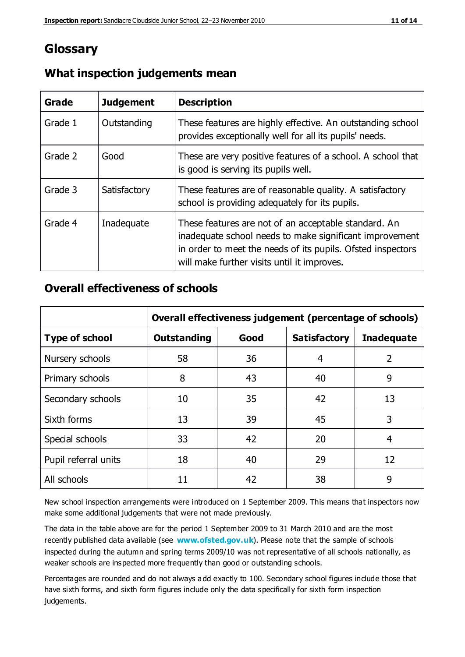## **Glossary**

| Grade   | <b>Judgement</b> | <b>Description</b>                                                                                                                                                                                                            |
|---------|------------------|-------------------------------------------------------------------------------------------------------------------------------------------------------------------------------------------------------------------------------|
| Grade 1 | Outstanding      | These features are highly effective. An outstanding school<br>provides exceptionally well for all its pupils' needs.                                                                                                          |
| Grade 2 | Good             | These are very positive features of a school. A school that<br>is good is serving its pupils well.                                                                                                                            |
| Grade 3 | Satisfactory     | These features are of reasonable quality. A satisfactory<br>school is providing adequately for its pupils.                                                                                                                    |
| Grade 4 | Inadequate       | These features are not of an acceptable standard. An<br>inadequate school needs to make significant improvement<br>in order to meet the needs of its pupils. Ofsted inspectors<br>will make further visits until it improves. |

## **What inspection judgements mean**

## **Overall effectiveness of schools**

|                       | Overall effectiveness judgement (percentage of schools) |      |                     |                   |
|-----------------------|---------------------------------------------------------|------|---------------------|-------------------|
| <b>Type of school</b> | <b>Outstanding</b>                                      | Good | <b>Satisfactory</b> | <b>Inadequate</b> |
| Nursery schools       | 58                                                      | 36   | 4                   | 2                 |
| Primary schools       | 8                                                       | 43   | 40                  | 9                 |
| Secondary schools     | 10                                                      | 35   | 42                  | 13                |
| Sixth forms           | 13                                                      | 39   | 45                  | 3                 |
| Special schools       | 33                                                      | 42   | 20                  | 4                 |
| Pupil referral units  | 18                                                      | 40   | 29                  | 12                |
| All schools           | 11                                                      | 42   | 38                  | 9                 |

New school inspection arrangements were introduced on 1 September 2009. This means that inspectors now make some additional judgements that were not made previously.

The data in the table above are for the period 1 September 2009 to 31 March 2010 and are the most recently published data available (see **[www.ofsted.gov.uk](http://www.ofsted.gov.uk/)**). Please note that the sample of schools inspected during the autumn and spring terms 2009/10 was not representative of all schools nationally, as weaker schools are inspected more frequently than good or outstanding schools.

Percentages are rounded and do not always a dd exactly to 100. Secondary school figures include those that have sixth forms, and sixth form figures include only the data specifically for sixth form inspection judgements.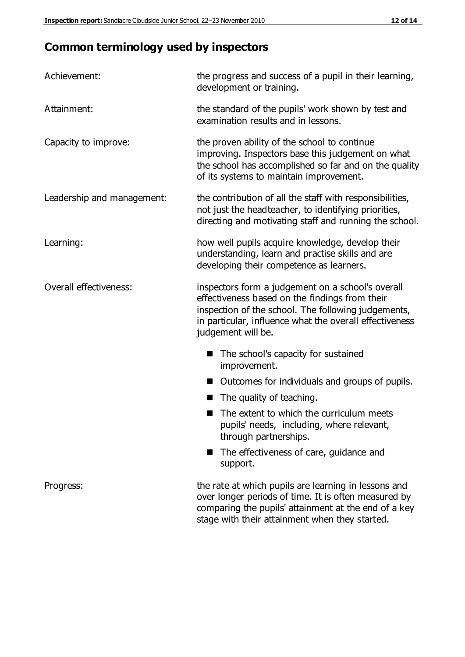# **Common terminology used by inspectors**

| Achievement:                  | the progress and success of a pupil in their learning,<br>development or training.                                                                                                                                                          |  |  |
|-------------------------------|---------------------------------------------------------------------------------------------------------------------------------------------------------------------------------------------------------------------------------------------|--|--|
| Attainment:                   | the standard of the pupils' work shown by test and<br>examination results and in lessons.                                                                                                                                                   |  |  |
| Capacity to improve:          | the proven ability of the school to continue<br>improving. Inspectors base this judgement on what<br>the school has accomplished so far and on the quality<br>of its systems to maintain improvement.                                       |  |  |
| Leadership and management:    | the contribution of all the staff with responsibilities,<br>not just the headteacher, to identifying priorities,<br>directing and motivating staff and running the school.                                                                  |  |  |
| Learning:                     | how well pupils acquire knowledge, develop their<br>understanding, learn and practise skills and are<br>developing their competence as learners.                                                                                            |  |  |
| <b>Overall effectiveness:</b> | inspectors form a judgement on a school's overall<br>effectiveness based on the findings from their<br>inspection of the school. The following judgements,<br>in particular, influence what the overall effectiveness<br>judgement will be. |  |  |
|                               | The school's capacity for sustained<br>improvement.                                                                                                                                                                                         |  |  |
|                               | Outcomes for individuals and groups of pupils.                                                                                                                                                                                              |  |  |
|                               | The quality of teaching.                                                                                                                                                                                                                    |  |  |
|                               | The extent to which the curriculum meets<br>pupils' needs, including, where relevant,<br>through partnerships.                                                                                                                              |  |  |
|                               | The effectiveness of care, guidance and<br>support.                                                                                                                                                                                         |  |  |
| Progress:                     | the rate at which pupils are learning in lessons and<br>over longer periods of time. It is often measured by<br>comparing the pupils' attainment at the end of a key                                                                        |  |  |

stage with their attainment when they started.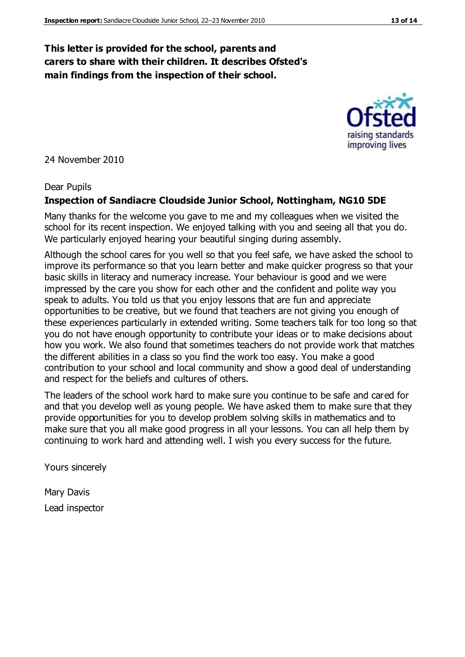#### **This letter is provided for the school, parents and carers to share with their children. It describes Ofsted's main findings from the inspection of their school.**

24 November 2010

#### Dear Pupils

#### **Inspection of Sandiacre Cloudside Junior School, Nottingham, NG10 5DE**

Many thanks for the welcome you gave to me and my colleagues when we visited the school for its recent inspection. We enjoyed talking with you and seeing all that you do. We particularly enjoyed hearing your beautiful singing during assembly.

Although the school cares for you well so that you feel safe, we have asked the school to improve its performance so that you learn better and make quicker progress so that your basic skills in literacy and numeracy increase. Your behaviour is good and we were impressed by the care you show for each other and the confident and polite way you speak to adults. You told us that you enjoy lessons that are fun and appreciate opportunities to be creative, but we found that teachers are not giving you enough of these experiences particularly in extended writing. Some teachers talk for too long so that you do not have enough opportunity to contribute your ideas or to make decisions about how you work. We also found that sometimes teachers do not provide work that matches the different abilities in a class so you find the work too easy. You make a good contribution to your school and local community and show a good deal of understanding and respect for the beliefs and cultures of others.

The leaders of the school work hard to make sure you continue to be safe and cared for and that you develop well as young people. We have asked them to make sure that they provide opportunities for you to develop problem solving skills in mathematics and to make sure that you all make good progress in all your lessons. You can all help them by continuing to work hard and attending well. I wish you every success for the future.

Yours sincerely

Mary Davis Lead inspector